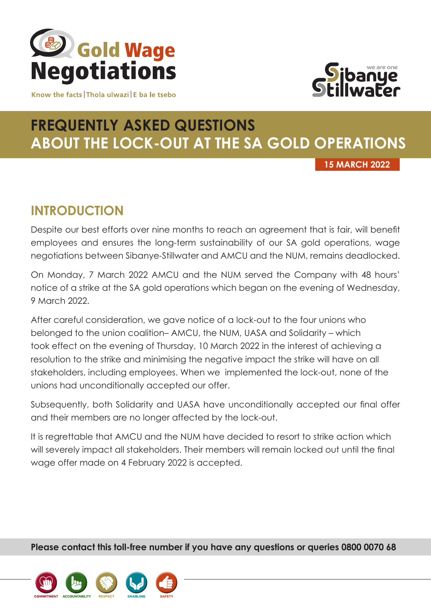

Know the facts Thola ulwazi E ba le tsebo



# **FREQUENTLY ASKED QUESTIONS ABOUT THE LOCK-OUT AT THE SA GOLD OPERATIONS**

**15 MARCH 2022**

# **INTRODUCTION**

Despite our best efforts over nine months to reach an agreement that is fair, will benefit employees and ensures the long-term sustainability of our SA gold operations, wage negotiations between Sibanye-Stillwater and AMCU and the NUM, remains deadlocked.

On Monday, 7 March 2022 AMCU and the NUM served the Company with 48 hours' notice of a strike at the SA gold operations which began on the evening of Wednesday, 9 March 2022.

After careful consideration, we gave notice of a lock-out to the four unions who belonged to the union coalition– AMCU, the NUM, UASA and Solidarity – which took effect on the evening of Thursday, 10 March 2022 in the interest of achieving a resolution to the strike and minimising the negative impact the strike will have on all stakeholders, including employees. When we implemented the lock-out, none of the unions had unconditionally accepted our offer.

Subsequently, both Solidarity and UASA have unconditionally accepted our final offer and their members are no longer affected by the lock-out.

It is regrettable that AMCU and the NUM have decided to resort to strike action which will severely impact all stakeholders. Their members will remain locked out until the final wage offer made on 4 February 2022 is accepted.

**Please contact this toll-free number if you have any questions or queries 0800 0070 68**

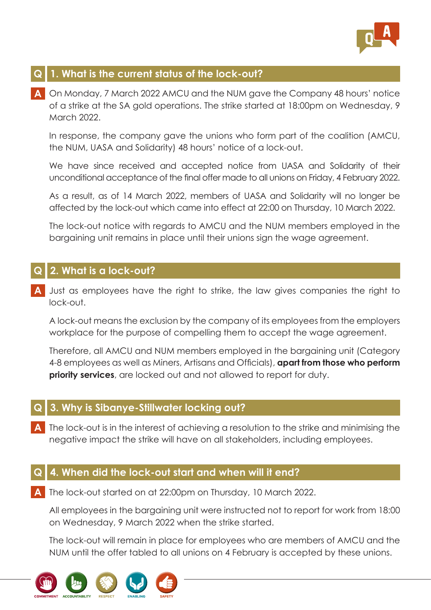

# **Q 1. What is the current status of the lock-out?**

**A** On Monday, 7 March 2022 AMCU and the NUM gave the Company 48 hours' notice of a strike at the SA gold operations. The strike started at 18:00pm on Wednesday, 9 March 2022.

 In response, the company gave the unions who form part of the coalition (AMCU, the NUM, UASA and Solidarity) 48 hours' notice of a lock-out.

 We have since received and accepted notice from UASA and Solidarity of their unconditional acceptance of the final offer made to all unions on Friday, 4 February 2022.

 As a result, as of 14 March 2022, members of UASA and Solidarity will no longer be affected by the lock-out which came into effect at 22:00 on Thursday, 10 March 2022.

 The lock-out notice with regards to AMCU and the NUM members employed in the bargaining unit remains in place until their unions sign the wage agreement.

#### **Q 2. What is a lock-out?**

**A** Just as employees have the right to strike, the law gives companies the right to lock-out.

 A lock-out means the exclusion by the company of its employees from the employers workplace for the purpose of compelling them to accept the wage agreement.

 Therefore, all AMCU and NUM members employed in the bargaining unit (Category 4-8 employees as well as Miners, Artisans and Officials), **apart from those who perform priority services**, are locked out and not allowed to report for duty.

#### **Q 3. Why is Sibanye-Stillwater locking out?**

**A** The lock-out is in the interest of achieving a resolution to the strike and minimising the negative impact the strike will have on all stakeholders, including employees.

#### **Q 4. When did the lock-out start and when will it end?**

**A** The lock-out started on at 22:00pm on Thursday, 10 March 2022.

 All employees in the bargaining unit were instructed not to report for work from 18:00 on Wednesday, 9 March 2022 when the strike started.

 The lock-out will remain in place for employees who are members of AMCU and the NUM until the offer tabled to all unions on 4 February is accepted by these unions.

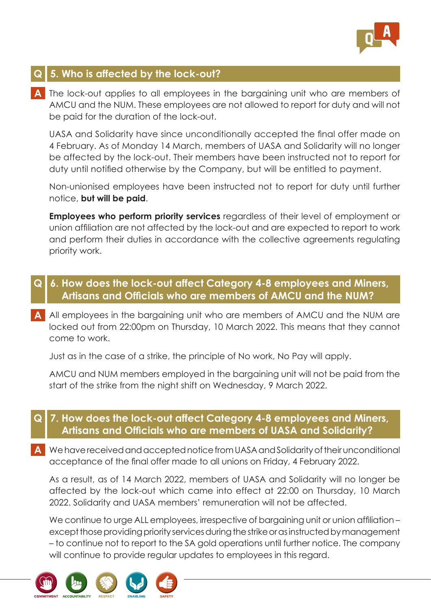

# **Q 5. Who is affected by the lock-out?**

**A** The lock-out applies to all employees in the bargaining unit who are members of AMCU and the NUM. These employees are not allowed to report for duty and will not be paid for the duration of the lock-out.

UASA and Solidarity have since unconditionally accepted the final offer made on 4 February. As of Monday 14 March, members of UASA and Solidarity will no longer be affected by the lock-out. Their members have been instructed not to report for duty until notified otherwise by the Company, but will be entitled to payment.

 Non-unionised employees have been instructed not to report for duty until further notice, **but will be paid**.

 **Employees who perform priority services** regardless of their level of employment or union affiliation are not affected by the lock-out and are expected to report to work and perform their duties in accordance with the collective agreements regulating priority work.

#### **Q 6. How does the lock-out affect Category 4-8 employees and Miners, Artisans and Officials who are members of AMCU and the NUM?**

**A** All employees in the bargaining unit who are members of AMCU and the NUM are locked out from 22:00pm on Thursday, 10 March 2022. This means that they cannot come to work.

Just as in the case of a strike, the principle of No work, No Pay will apply.

 AMCU and NUM members employed in the bargaining unit will not be paid from the start of the strike from the night shift on Wednesday, 9 March 2022.

#### **Q 7. How does the lock-out affect Category 4-8 employees and Miners, Artisans and Officials who are members of UASA and Solidarity?**

**A** We have received and accepted notice from UASA and Solidarity of their unconditional acceptance of the final offer made to all unions on Friday, 4 February 2022.

 As a result, as of 14 March 2022, members of UASA and Solidarity will no longer be affected by the lock-out which came into effect at 22:00 on Thursday, 10 March 2022. Solidarity and UASA members' remuneration will not be affected.

We continue to urge ALL employees, irrespective of bargaining unit or union affiliation – except those providing priority services during the strike or as instructed by management – to continue not to report to the SA gold operations until further notice. The company will continue to provide regular updates to employees in this regard.

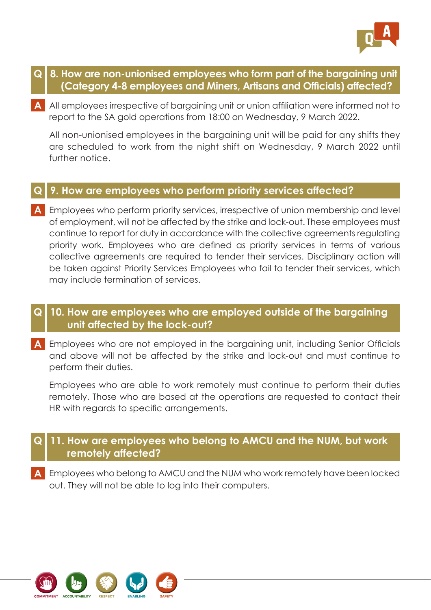

- **Q 8. How are non-unionised employees who form part of the bargaining unit (Category 4-8 employees and Miners, Artisans and Officials) affected?**
- **A** All employees irrespective of bargaining unit or union affiliation were informed not to report to the SA gold operations from 18:00 on Wednesday, 9 March 2022.

 All non-unionised employees in the bargaining unit will be paid for any shifts they are scheduled to work from the night shift on Wednesday, 9 March 2022 until further notice.

#### **Q 9. How are employees who perform priority services affected?**

**A** Employees who perform priority services, irrespective of union membership and level of employment, will not be affected by the strike and lock-out. These employees must continue to report for duty in accordance with the collective agreements regulating priority work. Employees who are defined as priority services in terms of various collective agreements are required to tender their services. Disciplinary action will be taken against Priority Services Employees who fail to tender their services, which may include termination of services.

#### **Q 10. How are employees who are employed outside of the bargaining unit affected by the lock-out?**

**A** Employees who are not employed in the bargaining unit, including Senior Officials and above will not be affected by the strike and lock-out and must continue to perform their duties.

 Employees who are able to work remotely must continue to perform their duties remotely. Those who are based at the operations are requested to contact their HR with regards to specific arrangements.

# **Q 11. How are employees who belong to AMCU and the NUM, but work remotely affected?**

**A** Employees who belong to AMCU and the NUM who work remotely have been locked out. They will not be able to log into their computers.